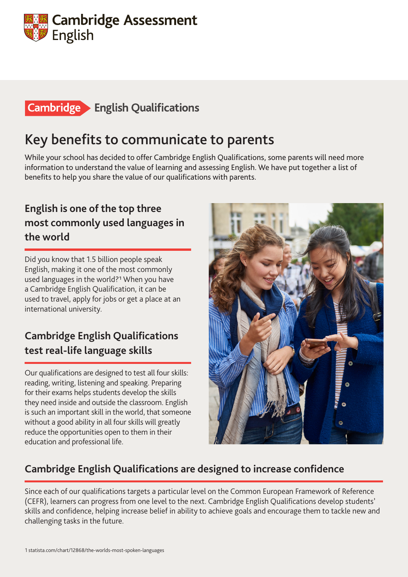

## **Cambridge English Qualifications**

# Key benefits to communicate to parents

While your school has decided to offer Cambridge English Qualifications, some parents will need more information to understand the value of learning and assessing English. We have put together a list of benefits to help you share the value of our qualifications with parents.

### **English is one of the top three most commonly used languages in the world**

Did you know that 1.5 billion people speak English, making it one of the most commonly used languages in the world?1 When you have a Cambridge English Qualification, it can be used to travel, apply for jobs or get a place at an international university.

### **Cambridge English Qualifications test real-life language skills**

Our qualifications are designed to test all four skills: reading, writing, listening and speaking. Preparing for their exams helps students develop the skills they need inside and outside the classroom. English is such an important skill in the world, that someone without a good ability in all four skills will greatly reduce the opportunities open to them in their education and professional life.



#### **Cambridge English Qualifications are designed to increase confidence**

Since each of our qualifications targets a particular level on the Common European Framework of Reference (CEFR), learners can progress from one level to the next. Cambridge English Qualifications develop students' skills and confidence, helping increase belief in ability to achieve goals and encourage them to tackle new and challenging tasks in the future.